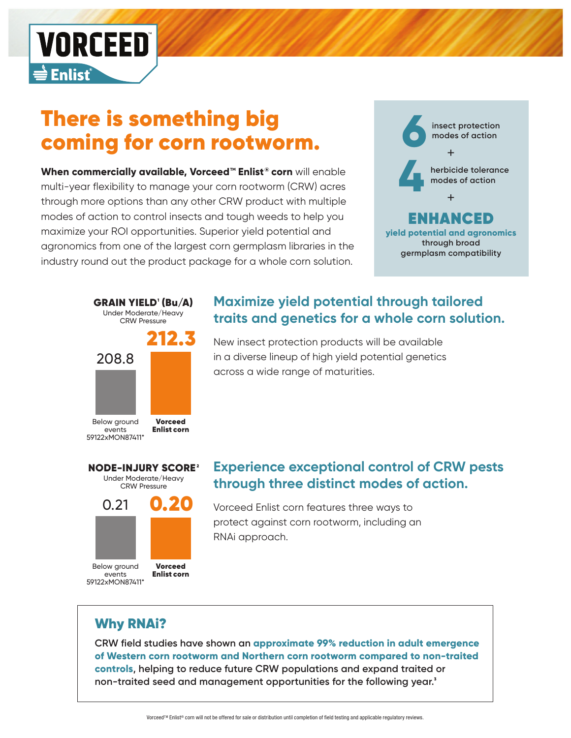

# There is something big coming for corn rootworm.

**When commercially available, Vorceed™ Enlist® corn** will enable multi-year flexibility to manage your corn rootworm (CRW) acres through more options than any other CRW product with multiple modes of action to control insects and tough weeds to help you maximize your ROI opportunities. Superior yield potential and agronomics from one of the largest corn germplasm libraries in the industry round out the product package for a whole corn solution.







# **Maximize yield potential through tailored traits and genetics for a whole corn solution.**

New insect protection products will be available in a diverse lineup of high yield potential genetics across a wide range of maturities.

### **Experience exceptional control of CRW pests through three distinct modes of action.**

Vorceed Enlist corn features three ways to protect against corn rootworm, including an RNAi approach.

# Why RNAi?

59122xMON87411\*

**CRW field studies have shown an approximate 99% reduction in adult emergence of Western corn rootworm and Northern corn rootworm compared to non-traited controls, helping to reduce future CRW populations and expand traited or non-traited seed and management opportunities for the following year.**<sup>3</sup>